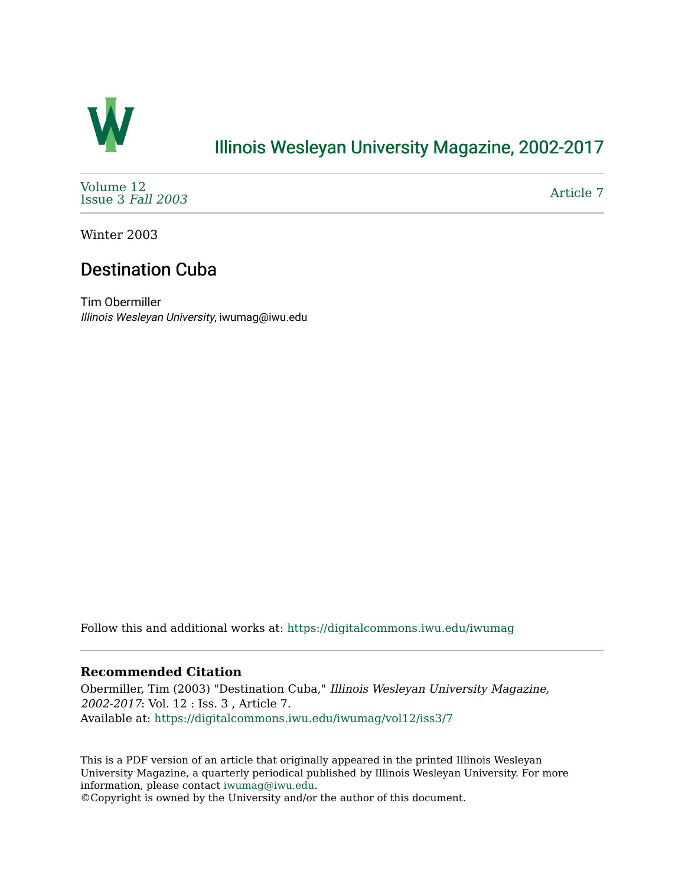

## [Illinois Wesleyan University Magazine, 2002-2017](https://digitalcommons.iwu.edu/iwumag)

[Volume 12](https://digitalcommons.iwu.edu/iwumag/vol12)  [Issue 3](https://digitalcommons.iwu.edu/iwumag/vol12/iss3) Fall 2003

[Article 7](https://digitalcommons.iwu.edu/iwumag/vol12/iss3/7) 

Winter 2003

## Destination Cuba

Tim Obermiller Illinois Wesleyan University, iwumag@iwu.edu

Follow this and additional works at: [https://digitalcommons.iwu.edu/iwumag](https://digitalcommons.iwu.edu/iwumag?utm_source=digitalcommons.iwu.edu%2Fiwumag%2Fvol12%2Fiss3%2F7&utm_medium=PDF&utm_campaign=PDFCoverPages) 

#### **Recommended Citation**

Obermiller, Tim (2003) "Destination Cuba," Illinois Wesleyan University Magazine, 2002-2017: Vol. 12 : Iss. 3 , Article 7. Available at: [https://digitalcommons.iwu.edu/iwumag/vol12/iss3/7](https://digitalcommons.iwu.edu/iwumag/vol12/iss3/7?utm_source=digitalcommons.iwu.edu%2Fiwumag%2Fvol12%2Fiss3%2F7&utm_medium=PDF&utm_campaign=PDFCoverPages)

This is a PDF version of an article that originally appeared in the printed Illinois Wesleyan University Magazine, a quarterly periodical published by Illinois Wesleyan University. For more information, please contact [iwumag@iwu.edu](mailto:iwumag@iwu.edu).

©Copyright is owned by the University and/or the author of this document.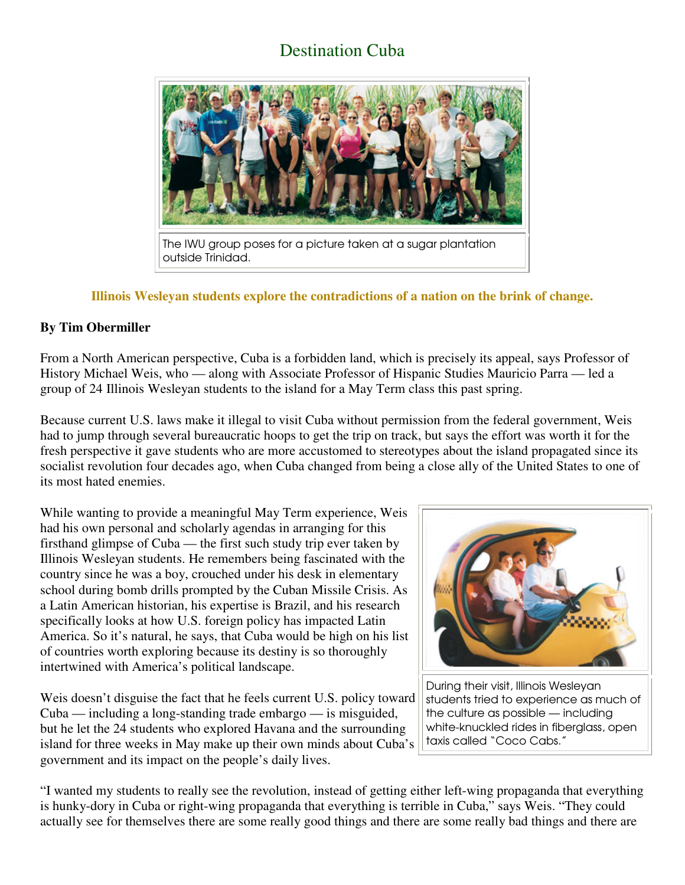# Destination Cuba



### **Illinois Wesleyan students explore the contradictions of a nation on the brink of change.**

### **By Tim Obermiller**

From a North American perspective, Cuba is a forbidden land, which is precisely its appeal, says Professor of History Michael Weis, who — along with Associate Professor of Hispanic Studies Mauricio Parra — led a group of 24 Illinois Wesleyan students to the island for a May Term class this past spring.

Because current U.S. laws make it illegal to visit Cuba without permission from the federal government, Weis had to jump through several bureaucratic hoops to get the trip on track, but says the effort was worth it for the fresh perspective it gave students who are more accustomed to stereotypes about the island propagated since its socialist revolution four decades ago, when Cuba changed from being a close ally of the United States to one of its most hated enemies.

While wanting to provide a meaningful May Term experience, Weis had his own personal and scholarly agendas in arranging for this firsthand glimpse of Cuba — the first such study trip ever taken by Illinois Wesleyan students. He remembers being fascinated with the country since he was a boy, crouched under his desk in elementary school during bomb drills prompted by the Cuban Missile Crisis. As a Latin American historian, his expertise is Brazil, and his research specifically looks at how U.S. foreign policy has impacted Latin America. So it's natural, he says, that Cuba would be high on his list of countries worth exploring because its destiny is so thoroughly intertwined with America's political landscape.

Weis doesn't disguise the fact that he feels current U.S. policy toward Cuba — including a long-standing trade embargo — is misguided, but he let the 24 students who explored Havana and the surrounding island for three weeks in May make up their own minds about Cuba's government and its impact on the people's daily lives.



During their visit, Illinois Wesleyan students tried to experience as much of the culture as possible — including white-knuckled rides in fiberglass, open taxis called "Coco Cabs."

"I wanted my students to really see the revolution, instead of getting either left-wing propaganda that everything is hunky-dory in Cuba or right-wing propaganda that everything is terrible in Cuba," says Weis. "They could actually see for themselves there are some really good things and there are some really bad things and there are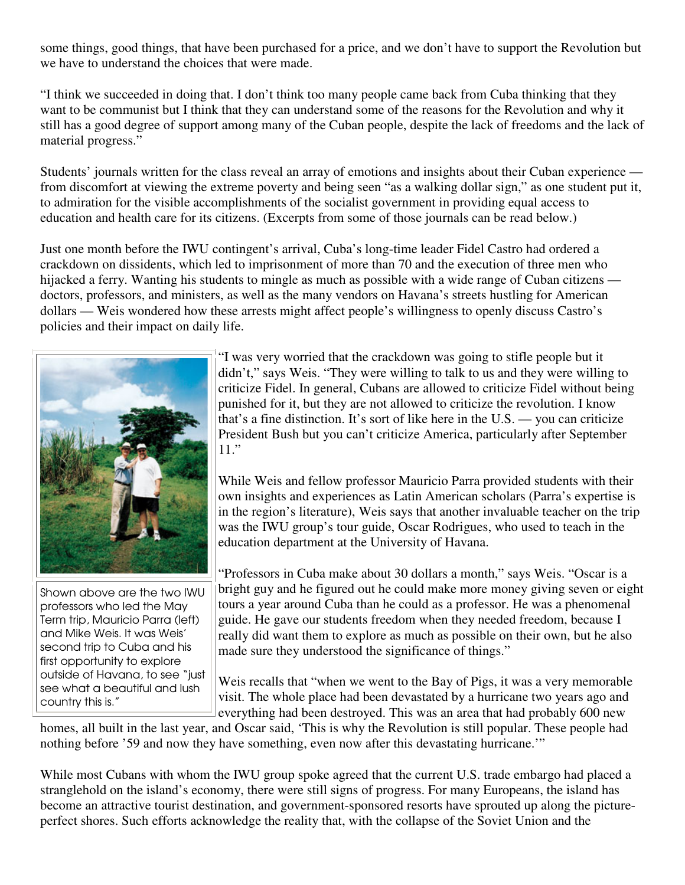some things, good things, that have been purchased for a price, and we don't have to support the Revolution but we have to understand the choices that were made.

"I think we succeeded in doing that. I don't think too many people came back from Cuba thinking that they want to be communist but I think that they can understand some of the reasons for the Revolution and why it still has a good degree of support among many of the Cuban people, despite the lack of freedoms and the lack of material progress."

Students' journals written for the class reveal an array of emotions and insights about their Cuban experience from discomfort at viewing the extreme poverty and being seen "as a walking dollar sign," as one student put it, to admiration for the visible accomplishments of the socialist government in providing equal access to education and health care for its citizens. (Excerpts from some of those journals can be read below.)

Just one month before the IWU contingent's arrival, Cuba's long-time leader Fidel Castro had ordered a crackdown on dissidents, which led to imprisonment of more than 70 and the execution of three men who hijacked a ferry. Wanting his students to mingle as much as possible with a wide range of Cuban citizens doctors, professors, and ministers, as well as the many vendors on Havana's streets hustling for American dollars — Weis wondered how these arrests might affect people's willingness to openly discuss Castro's policies and their impact on daily life.



Shown above are the two IWU professors who led the May Term trip, Mauricio Parra (left) and Mike Weis. It was Weis' second trip to Cuba and his first opportunity to explore outside of Havana, to see "just see what a beautiful and lush country this is."

"I was very worried that the crackdown was going to stifle people but it didn't," says Weis. "They were willing to talk to us and they were willing to criticize Fidel. In general, Cubans are allowed to criticize Fidel without being punished for it, but they are not allowed to criticize the revolution. I know that's a fine distinction. It's sort of like here in the U.S. — you can criticize President Bush but you can't criticize America, particularly after September 11."

While Weis and fellow professor Mauricio Parra provided students with their own insights and experiences as Latin American scholars (Parra's expertise is in the region's literature), Weis says that another invaluable teacher on the trip was the IWU group's tour guide, Oscar Rodrigues, who used to teach in the education department at the University of Havana.

"Professors in Cuba make about 30 dollars a month," says Weis. "Oscar is a bright guy and he figured out he could make more money giving seven or eight tours a year around Cuba than he could as a professor. He was a phenomenal guide. He gave our students freedom when they needed freedom, because I really did want them to explore as much as possible on their own, but he also made sure they understood the significance of things."

Weis recalls that "when we went to the Bay of Pigs, it was a very memorable visit. The whole place had been devastated by a hurricane two years ago and everything had been destroyed. This was an area that had probably 600 new

homes, all built in the last year, and Oscar said, 'This is why the Revolution is still popular. These people had nothing before '59 and now they have something, even now after this devastating hurricane.'"

While most Cubans with whom the IWU group spoke agreed that the current U.S. trade embargo had placed a stranglehold on the island's economy, there were still signs of progress. For many Europeans, the island has become an attractive tourist destination, and government-sponsored resorts have sprouted up along the pictureperfect shores. Such efforts acknowledge the reality that, with the collapse of the Soviet Union and the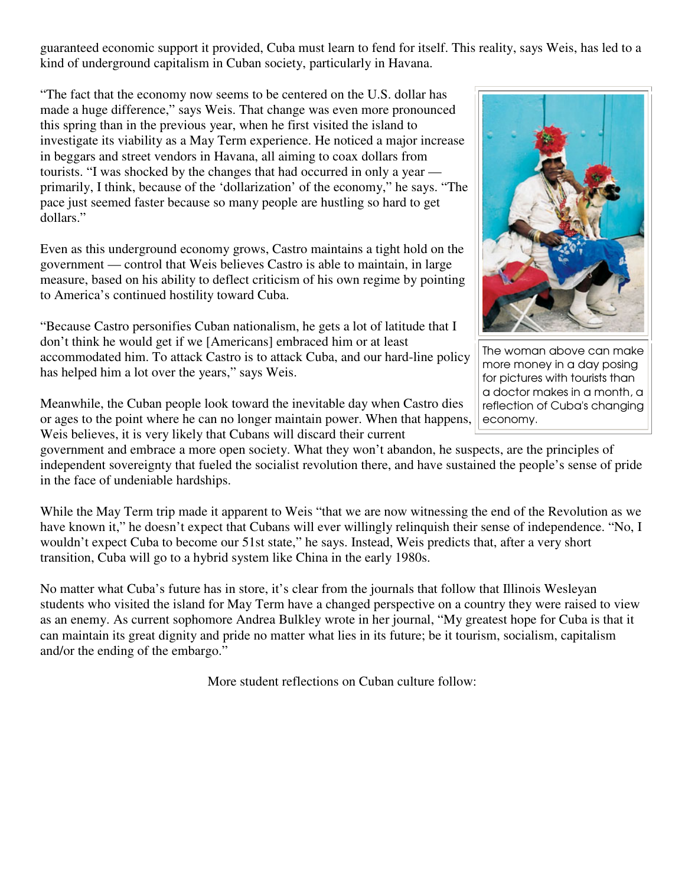guaranteed economic support it provided, Cuba must learn to fend for itself. This reality, says Weis, has led to a kind of underground capitalism in Cuban society, particularly in Havana.

"The fact that the economy now seems to be centered on the U.S. dollar has made a huge difference," says Weis. That change was even more pronounced this spring than in the previous year, when he first visited the island to investigate its viability as a May Term experience. He noticed a major increase in beggars and street vendors in Havana, all aiming to coax dollars from tourists. "I was shocked by the changes that had occurred in only a year primarily, I think, because of the 'dollarization' of the economy," he says. "The pace just seemed faster because so many people are hustling so hard to get dollars."

Even as this underground economy grows, Castro maintains a tight hold on the government — control that Weis believes Castro is able to maintain, in large measure, based on his ability to deflect criticism of his own regime by pointing to America's continued hostility toward Cuba.

"Because Castro personifies Cuban nationalism, he gets a lot of latitude that I don't think he would get if we [Americans] embraced him or at least accommodated him. To attack Castro is to attack Cuba, and our hard-line policy has helped him a lot over the years," says Weis.

Meanwhile, the Cuban people look toward the inevitable day when Castro dies or ages to the point where he can no longer maintain power. When that happens, Weis believes, it is very likely that Cubans will discard their current

government and embrace a more open society. What they won't abandon, he suspects, are the principles of independent sovereignty that fueled the socialist revolution there, and have sustained the people's sense of pride in the face of undeniable hardships.

While the May Term trip made it apparent to Weis "that we are now witnessing the end of the Revolution as we have known it," he doesn't expect that Cubans will ever willingly relinquish their sense of independence. "No, I wouldn't expect Cuba to become our 51st state," he says. Instead, Weis predicts that, after a very short transition, Cuba will go to a hybrid system like China in the early 1980s.

No matter what Cuba's future has in store, it's clear from the journals that follow that Illinois Wesleyan students who visited the island for May Term have a changed perspective on a country they were raised to view as an enemy. As current sophomore Andrea Bulkley wrote in her journal, "My greatest hope for Cuba is that it can maintain its great dignity and pride no matter what lies in its future; be it tourism, socialism, capitalism and/or the ending of the embargo."

More student reflections on Cuban culture follow:



The woman above can make more money in a day posing for pictures with tourists than a doctor makes in a month, a reflection of Cuba's changing economy.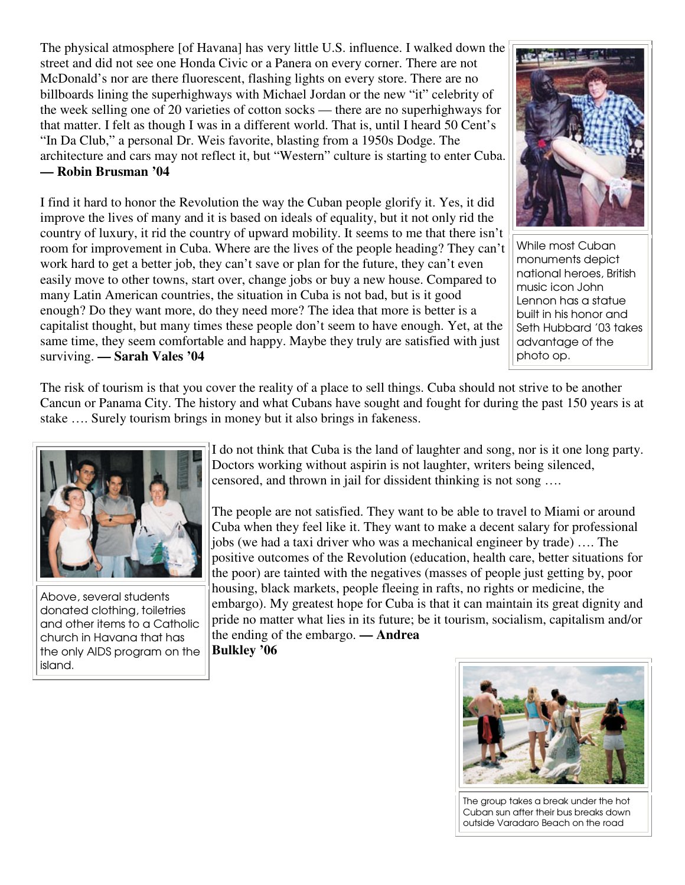The physical atmosphere [of Havana] has very little U.S. influence. I walked down the street and did not see one Honda Civic or a Panera on every corner. There are not McDonald's nor are there fluorescent, flashing lights on every store. There are no billboards lining the superhighways with Michael Jordan or the new "it" celebrity of the week selling one of 20 varieties of cotton socks — there are no superhighways for that matter. I felt as though I was in a different world. That is, until I heard 50 Cent's "In Da Club," a personal Dr. Weis favorite, blasting from a 1950s Dodge. The architecture and cars may not reflect it, but "Western" culture is starting to enter Cuba. **— Robin Brusman '04**

I find it hard to honor the Revolution the way the Cuban people glorify it. Yes, it did improve the lives of many and it is based on ideals of equality, but it not only rid the country of luxury, it rid the country of upward mobility. It seems to me that there isn't room for improvement in Cuba. Where are the lives of the people heading? They can't work hard to get a better job, they can't save or plan for the future, they can't even easily move to other towns, start over, change jobs or buy a new house. Compared to many Latin American countries, the situation in Cuba is not bad, but is it good enough? Do they want more, do they need more? The idea that more is better is a capitalist thought, but many times these people don't seem to have enough. Yet, at the same time, they seem comfortable and happy. Maybe they truly are satisfied with just surviving. **— Sarah Vales '04**



While most Cuban monuments depict national heroes, British music icon John Lennon has a statue built in his honor and Seth Hubbard '03 takes advantage of the photo op.

The risk of tourism is that you cover the reality of a place to sell things. Cuba should not strive to be another Cancun or Panama City. The history and what Cubans have sought and fought for during the past 150 years is at stake …. Surely tourism brings in money but it also brings in fakeness.



Above, several students donated clothing, toiletries and other items to a Catholic church in Havana that has the only AIDS program on the island.

I do not think that Cuba is the land of laughter and song, nor is it one long party. Doctors working without aspirin is not laughter, writers being silenced, censored, and thrown in jail for dissident thinking is not song ….

The people are not satisfied. They want to be able to travel to Miami or around Cuba when they feel like it. They want to make a decent salary for professional jobs (we had a taxi driver who was a mechanical engineer by trade) …. The positive outcomes of the Revolution (education, health care, better situations for the poor) are tainted with the negatives (masses of people just getting by, poor housing, black markets, people fleeing in rafts, no rights or medicine, the embargo). My greatest hope for Cuba is that it can maintain its great dignity and pride no matter what lies in its future; be it tourism, socialism, capitalism and/or the ending of the embargo. **— Andrea Bulkley '06**



The group takes a break under the hot Cuban sun after their bus breaks down outside Varadaro Beach on the road